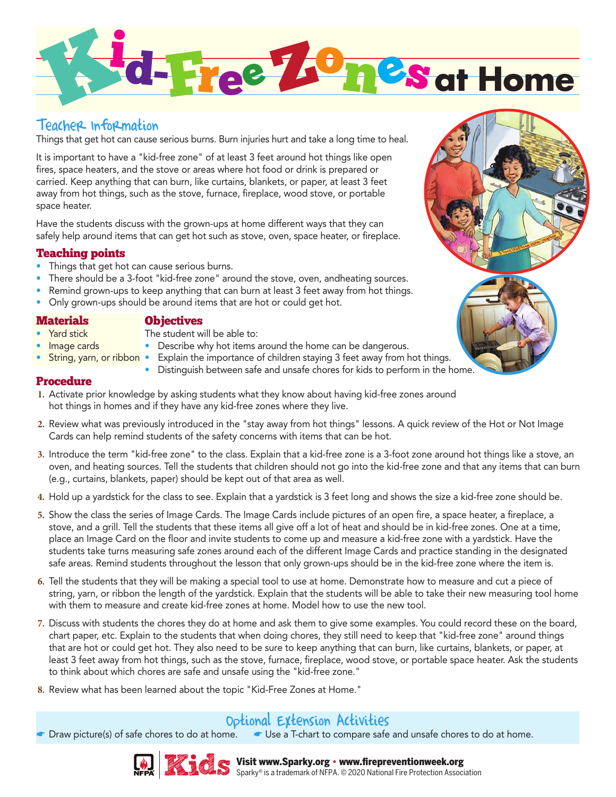

## Teacher Information

Things that get hot can cause serious burns. Burn injuries hurt and take a long time to heal.

It is important to have a "kid-free zone" of at least 3 feet around hot things like open fires, space heaters, and the stove or areas where hot food or drink is prepared or carried. Keep anything that can burn, like curtains, blankets, or paper, at least 3 feet away from hot things, such as the stove, furnace, fireplace, wood stove, or portable space heater.

Have the students discuss with the grown-ups at home different ways that they can safely help around items that can get hot such as stove, oven, space heater, or fireplace.

## Teaching points

- Things that get hot can cause serious burns.
- There should be a 3-foot "kid-free zone" around the stove, oven, andheating sources.
- Remind grown-ups to keep anything that can burn at least 3 feet away from hot things.
- Only grown-ups should be around items that are hot or could get hot.

### **Materials**

• Yard stick

• Image cards

### **Objectives**

- The student will be able to:
	- Describe why hot items around the home can be dangerous.
- String, yarn, or ribbon Explain the importance of children staying 3 feet away from hot things.
	- Distinguish between safe and unsafe chores for kids to perform in the home.

### Procedure

- **1.** Activate prior knowledge by asking students what they know about having kid-free zones around hot things in homes and if they have any kid-free zones where they live.
- **2.** Review what was previously introduced in the "stay away from hot things" lessons. A quick review of the Hot or Not Image Cards can help remind students of the safety concerns with items that can be hot.
- **3.** Introduce the term "kid-free zone" to the class. Explain that a kid-free zone is a 3-foot zone around hot things like a stove, an oven, and heating sources. Tell the students that children should not go into the kid-free zone and that any items that can burn (e.g., curtains, blankets, paper) should be kept out of that area as well.
- **4.** Hold up a yardstick for the class to see. Explain that a yardstick is 3 feet long and shows the size a kid-free zone should be.
- **5.** Show the class the series of Image Cards. The Image Cards include pictures of an open fire, a space heater, a fireplace, a stove, and a grill. Tell the students that these items all give off a lot of heat and should be in kid-free zones. One at a time, place an Image Card on the floor and invite students to come up and measure a kid-free zone with a yardstick. Have the students take turns measuring safe zones around each of the different Image Cards and practice standing in the designated safe areas. Remind students throughout the lesson that only grown-ups should be in the kid-free zone where the item is.
- **6.** Tell the students that they will be making a special tool to use at home. Demonstrate how to measure and cut a piece of string, yarn, or ribbon the length of the yardstick. Explain that the students will be able to take their new measuring tool home with them to measure and create kid-free zones at home. Model how to use the new tool.
- **7.** Discuss with students the chores they do at home and ask them to give some examples. You could record these on the board, chart paper, etc. Explain to the students that when doing chores, they still need to keep that "kid-free zone" around things that are hot or could get hot. They also need to be sure to keep anything that can burn, like curtains, blankets, or paper, at least 3 feet away from hot things, such as the stove, furnace, fireplace, wood stove, or portable space heater. Ask the students to think about which chores are safe and unsafe using the "kid-free zone."
- **8.** Review what has been learned about the topic "Kid-Free Zones at Home."

## Optional Extension Activities

Draw picture(s) of safe chores to do at home. ■ Use a T-chart to compare safe and unsafe chores to do at home.







#### Visit www.Sparky.org • www.firepreventionweek.org Sparky® is a trademark of NFPA. © 2020 National Fire Protection Association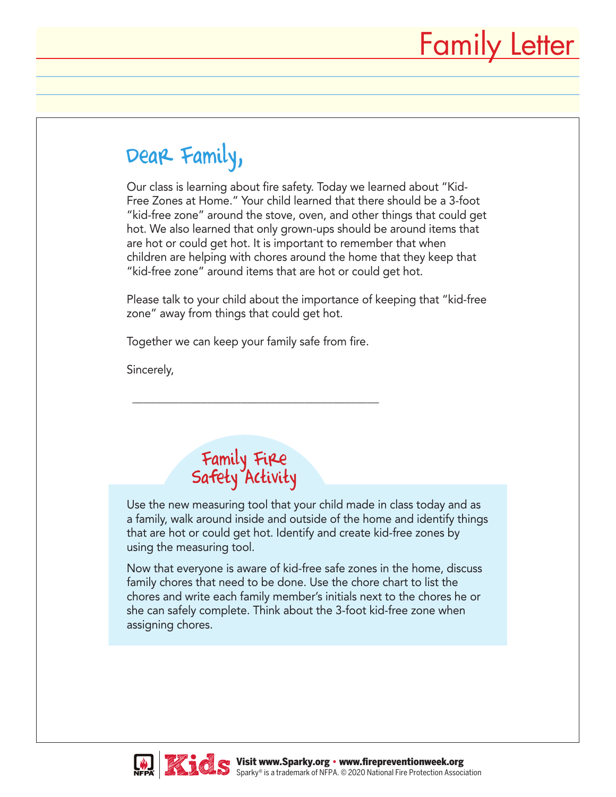## Dear Family,

Our class is learning about fire safety. Today we learned about "Kid-Free Zones at Home." Your child learned that there should be a 3-foot "kid-free zone" around the stove, oven, and other things that could get hot. We also learned that only grown-ups should be around items that are hot or could get hot. It is important to remember that when children are helping with chores around the home that they keep that "kid-free zone" around items that are hot or could get hot.

Please talk to your child about the importance of keeping that "kid-free zone" away from things that could get hot.

Together we can keep your family safe from fire.

\_\_\_\_\_\_\_\_\_\_\_\_\_\_\_\_\_\_\_\_\_\_\_\_\_\_\_\_\_\_\_\_\_\_\_\_\_\_\_\_\_\_\_

Sincerely,

## Family Fire Safety Activity

Use the new measuring tool that your child made in class today and as a family, walk around inside and outside of the home and identify things that are hot or could get hot. Identify and create kid-free zones by using the measuring tool.

Now that everyone is aware of kid-free safe zones in the home, discuss family chores that need to be done. Use the chore chart to list the chores and write each family member's initials next to the chores he or she can safely complete. Think about the 3-foot kid-free zone when assigning chores.